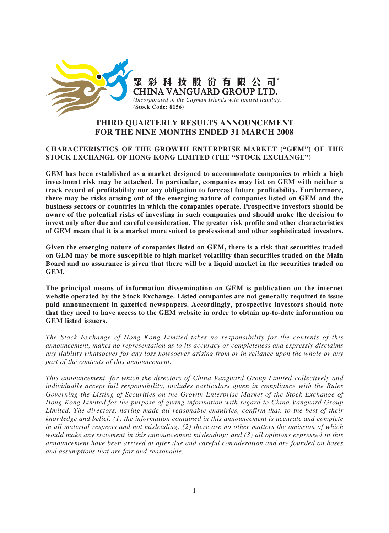

# **THIRD QUARTERLY RESULTS ANNOUNCEMENT FOR THE NINE MONTHS ENDED 31 MARCH 2008**

## **CHARACTERISTICS OF THE GROWTH ENTERPRISE MARKET ("GEM") OF THE STOCK EXCHANGE OF HONG KONG LIMITED (THE "STOCK EXCHANGE")**

**GEM has been established as a market designed to accommodate companies to which a high investment risk may be attached. In particular, companies may list on GEM with neither a track record of profitability nor any obligation to forecast future profitability. Furthermore, there may be risks arising out of the emerging nature of companies listed on GEM and the business sectors or countries in which the companies operate. Prospective investors should be aware of the potential risks of investing in such companies and should make the decision to invest only after due and careful consideration. The greater risk profile and other characteristics of GEM mean that it is a market more suited to professional and other sophisticated investors.**

**Given the emerging nature of companies listed on GEM, there is a risk that securities traded on GEM may be more susceptible to high market volatility than securities traded on the Main Board and no assurance is given that there will be a liquid market in the securities traded on GEM.**

**The principal means of information dissemination on GEM is publication on the internet website operated by the Stock Exchange. Listed companies are not generally required to issue paid announcement in gazetted newspapers. Accordingly, prospective investors should note that they need to have access to the GEM website in order to obtain up-to-date information on GEM listed issuers.**

*The Stock Exchange of Hong Kong Limited takes no responsibility for the contents of this announcement, makes no representation as to its accuracy or completeness and expressly disclaims any liability whatsoever for any loss howsoever arising from or in reliance upon the whole or any part of the contents of this announcement.*

*This announcement, for which the directors of China Vanguard Group Limited collectively and individually accept full responsibility, includes particulars given in compliance with the Rules Governing the Listing of Securities on the Growth Enterprise Market of the Stock Exchange of Hong Kong Limited for the purpose of giving information with regard to China Vanguard Group Limited. The directors, having made all reasonable enquiries, confirm that, to the best of their knowledge and belief: (1) the information contained in this announcement is accurate and complete in all material respects and not misleading; (2) there are no other matters the omission of which would make any statement in this announcement misleading; and (3) all opinions expressed in this announcement have been arrived at after due and careful consideration and are founded on bases and assumptions that are fair and reasonable.*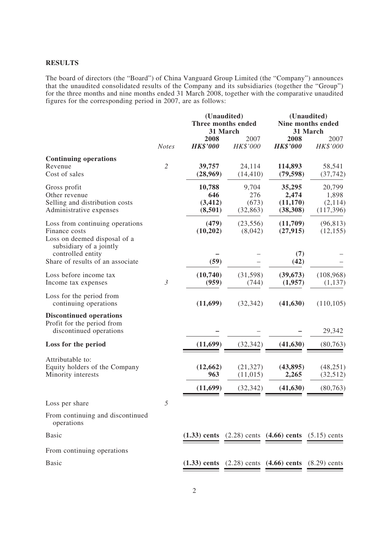## **RESULTS**

The board of directors (the "Board") of China Vanguard Group Limited (the "Company") announces that the unaudited consolidated results of the Company and its subsidiaries (together the "Group") for the three months and nine months ended 31 March 2008, together with the comparative unaudited figures for the corresponding period in 2007, are as follows:

|                                                                                                                                  |                |                                      | (Unaudited)<br>Three months ended<br>31 March |                                                             | (Unaudited)<br>Nine months ended<br>31 March |  |
|----------------------------------------------------------------------------------------------------------------------------------|----------------|--------------------------------------|-----------------------------------------------|-------------------------------------------------------------|----------------------------------------------|--|
|                                                                                                                                  | <b>Notes</b>   | 2008<br><b>HK\$'000</b>              | 2007<br>HK\$'000                              | 2008<br><b>HK\$'000</b>                                     | 2007<br>HK\$'000                             |  |
| <b>Continuing operations</b><br>Revenue<br>Cost of sales                                                                         | $\mathfrak{2}$ | 39,757<br>(28,969)                   | 24,114<br>(14, 410)                           | 114,893<br>(79, 598)                                        | 58,541<br>(37, 742)                          |  |
| Gross profit<br>Other revenue<br>Selling and distribution costs<br>Administrative expenses                                       |                | 10,788<br>646<br>(3, 412)<br>(8,501) | 9,704<br>276<br>(673)<br>(32, 863)            | 35,295<br>2,474<br>(11,170)<br>(38, 308)                    | 20,799<br>1,898<br>(2,114)<br>(117,396)      |  |
| Loss from continuing operations<br>Finance costs<br>Loss on deemed disposal of a<br>subsidiary of a jointly<br>controlled entity |                | (479)<br>(10,202)                    | (23, 556)<br>(8,042)                          | (11,709)<br>(27, 915)<br>(7)                                | (96, 813)<br>(12, 155)                       |  |
| Share of results of an associate                                                                                                 |                | (59)                                 |                                               | (42)                                                        |                                              |  |
| Loss before income tax<br>Income tax expenses                                                                                    | $\mathfrak{Z}$ | (10,740)<br>(959)                    | (31, 598)<br>(744)                            | (39, 673)<br>(1,957)                                        | (108, 968)<br>(1,137)                        |  |
| Loss for the period from<br>continuing operations                                                                                |                | (11,699)                             | (32, 342)                                     | (41, 630)                                                   | (110, 105)                                   |  |
| <b>Discontinued operations</b><br>Profit for the period from<br>discontinued operations                                          |                |                                      |                                               |                                                             | 29,342                                       |  |
| Loss for the period                                                                                                              |                | (11,699)                             | (32, 342)                                     | (41, 630)                                                   | (80, 763)                                    |  |
| Attributable to:<br>Equity holders of the Company<br>Minority interests                                                          |                | (12, 662)<br>963                     | (21, 327)<br>(11,015)                         | (43, 895)<br>2,265                                          | (48, 251)<br>(32,512)                        |  |
|                                                                                                                                  |                | (11,699)                             | (32, 342)                                     | (41, 630)                                                   | (80, 763)                                    |  |
| Loss per share                                                                                                                   | 5              |                                      |                                               |                                                             |                                              |  |
| From continuing and discontinued<br>operations                                                                                   |                |                                      |                                               |                                                             |                                              |  |
| <b>Basic</b>                                                                                                                     |                |                                      |                                               | $(1.33)$ cents $(2.28)$ cents $(4.66)$ cents $(5.15)$ cents |                                              |  |
| From continuing operations                                                                                                       |                |                                      |                                               |                                                             |                                              |  |
| <b>Basic</b>                                                                                                                     |                |                                      |                                               | $(1.33)$ cents $(2.28)$ cents $(4.66)$ cents $(8.29)$ cents |                                              |  |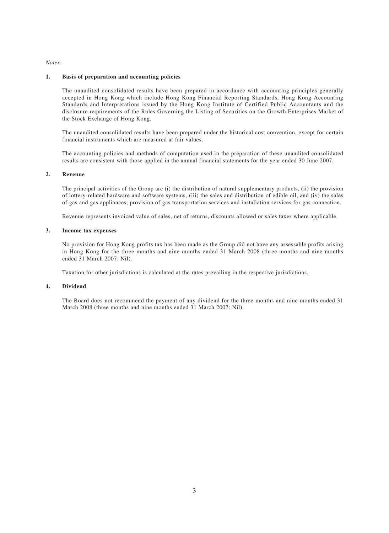#### *Notes:*

#### **1. Basis of preparation and accounting policies**

The unaudited consolidated results have been prepared in accordance with accounting principles generally accepted in Hong Kong which include Hong Kong Financial Reporting Standards, Hong Kong Accounting Standards and Interpretations issued by the Hong Kong Institute of Certified Public Accountants and the disclosure requirements of the Rules Governing the Listing of Securities on the Growth Enterprises Market of the Stock Exchange of Hong Kong.

The unaudited consolidated results have been prepared under the historical cost convention, except for certain financial instruments which are measured at fair values.

The accounting policies and methods of computation used in the preparation of these unaudited consolidated results are consistent with those applied in the annual financial statements for the year ended 30 June 2007.

#### **2. Revenue**

The principal activities of the Group are (i) the distribution of natural supplementary products, (ii) the provision of lottery-related hardware and software systems, (iii) the sales and distribution of edible oil, and (iv) the sales of gas and gas appliances, provision of gas transportation services and installation services for gas connection.

Revenue represents invoiced value of sales, net of returns, discounts allowed or sales taxes where applicable.

#### **3. Income tax expenses**

No provision for Hong Kong profits tax has been made as the Group did not have any assessable profits arising in Hong Kong for the three months and nine months ended 31 March 2008 (three months and nine months ended 31 March 2007: Nil).

Taxation for other jurisdictions is calculated at the rates prevailing in the respective jurisdictions.

#### **4. Dividend**

The Board does not recommend the payment of any dividend for the three months and nine months ended 31 March 2008 (three months and nine months ended 31 March 2007: Nil).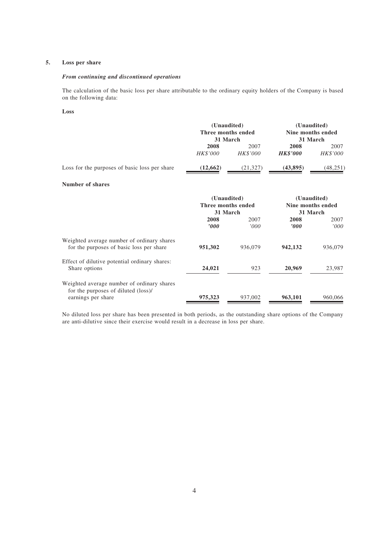### **5. Loss per share**

#### *From continuing and discontinued operations*

The calculation of the basic loss per share attributable to the ordinary equity holders of the Company is based on the following data:

#### **Loss**

|                                                                                                         | (Unaudited)<br>Three months ended<br>31 March |                  | (Unaudited)<br>Nine months ended<br>31 March |                               |  |
|---------------------------------------------------------------------------------------------------------|-----------------------------------------------|------------------|----------------------------------------------|-------------------------------|--|
|                                                                                                         | 2008<br>HK\$'000                              | 2007<br>HK\$'000 | 2008<br><b>HK\$'000</b>                      | 2007<br>HK\$'000              |  |
| Loss for the purposes of basic loss per share                                                           | (12, 662)                                     | (21, 327)        | (43,895)                                     | (48, 251)                     |  |
| Number of shares                                                                                        |                                               |                  |                                              |                               |  |
|                                                                                                         | (Unaudited)                                   |                  |                                              | (Unaudited)                   |  |
|                                                                                                         | Three months ended<br>31 March                |                  |                                              | Nine months ended<br>31 March |  |
|                                                                                                         | 2008<br>$\boldsymbol{v}$                      | 2007<br>'000     | 2008<br>'000                                 | 2007<br>'000                  |  |
| Weighted average number of ordinary shares<br>for the purposes of basic loss per share                  | 951,302                                       | 936,079          | 942,132                                      | 936,079                       |  |
| Effect of dilutive potential ordinary shares:<br>Share options                                          | 24,021                                        | 923              | 20,969                                       | 23,987                        |  |
| Weighted average number of ordinary shares<br>for the purposes of diluted (loss)/<br>earnings per share | 975,323                                       | 937,002          | 963,101                                      | 960,066                       |  |

No diluted loss per share has been presented in both periods, as the outstanding share options of the Company are anti-dilutive since their exercise would result in a decrease in loss per share.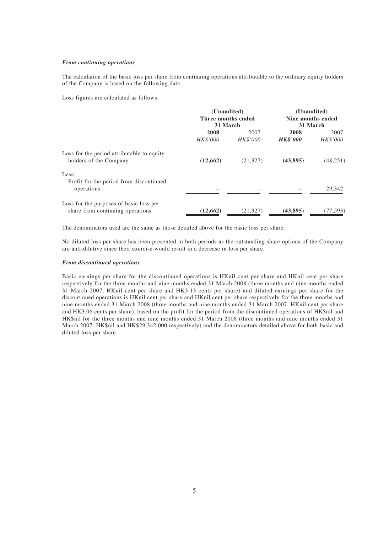#### *From continuing operations*

The calculation of the basic loss per share from continuing operations attributable to the ordinary equity holders of the Company is based on the following data:

Loss figures are calculated as follows:

|                                            | (Unaudited)        |                 | (Unaudited)       |           |  |
|--------------------------------------------|--------------------|-----------------|-------------------|-----------|--|
|                                            | Three months ended |                 | Nine months ended |           |  |
|                                            | 31 March           |                 | 31 March          |           |  |
|                                            | 2008               | 2007            | 2008              | 2007      |  |
|                                            | HK\$'000           | <b>HK\$'000</b> | <b>HK\$'000</b>   | HK\$'000  |  |
| Loss for the period attributable to equity |                    |                 |                   |           |  |
| holders of the Company                     | (12,662)           | (21, 327)       | (43,895)          | (48, 251) |  |
| Less:                                      |                    |                 |                   |           |  |
| Profit for the period from discontinued    |                    |                 |                   |           |  |
| operations                                 |                    |                 |                   | 29,342    |  |
| Loss for the purposes of basic loss per    |                    |                 |                   |           |  |
| share from continuing operations           | (12, 662)          | (21, 327)       | (43, 895)         | (77, 593) |  |

The denominators used are the same as those detailed above for the basic loss per share.

No diluted loss per share has been presented in both periods as the outstanding share options of the Company are anti-dilutive since their exercise would result in a decrease in loss per share.

#### *From discontinued operations*

Basic earnings per share for the discontinued operations is HKnil cent per share and HKnil cent per share respectively for the three months and nine months ended 31 March 2008 (three months and nine months ended 31 March 2007: HKnil cent per share and HK3.13 cents per share) and diluted earnings per share for the discontinued operations is HKnil cent per share and HKnil cent per share respectively for the three months and nine months ended 31 March 2008 (three months and nine months ended 31 March 2007: HKnil cent per share and HK3.06 cents per share), based on the profit for the period from the discontinued operations of HK\$nil and HK\$nil for the three months and nine months ended 31 March 2008 (three months and nine months ended 31 March 2007: HK\$nil and HK\$29,342,000 respectively) and the denominators detailed above for both basic and diluted loss per share.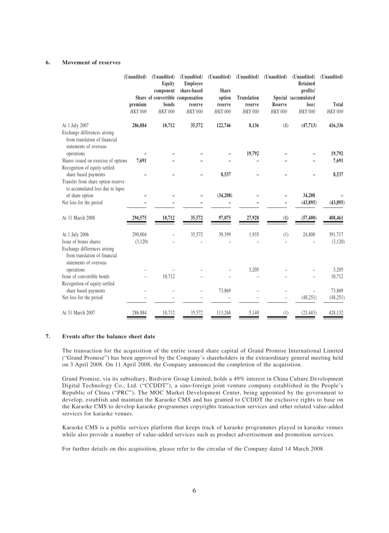#### **6. Movement of reserves**

|                                                                                         | (Unaudited) | (Unaudited)<br>Equity<br>component | (Unaudited)<br>Employee<br>share-based | (Unaudited)<br><b>Share</b> | (Unaudited)        | (Unaudited)    | (Unaudited)<br><b>Retained</b><br>profits/ | (Unaudited) |
|-----------------------------------------------------------------------------------------|-------------|------------------------------------|----------------------------------------|-----------------------------|--------------------|----------------|--------------------------------------------|-------------|
|                                                                                         |             | Share of convertible compensation  |                                        | option                      | <b>Translation</b> |                | Special (accumulated                       |             |
|                                                                                         | premium     | bonds                              | reserve                                | reserve                     | reserve            | <b>Reserve</b> | loss)                                      | Total       |
|                                                                                         | HK\$'000    | HK\$'000                           | HK\$'000                               | HK\$'000                    | HK\$'000           | HK\$'000       | HK\$'000                                   | HK\$'000    |
| At 1 July 2007                                                                          | 286,884     | 10,712                             | 35,572                                 | 122,746                     | 8,136              | (1)            | (47, 713)                                  | 416,336     |
| Exchange differences arising<br>from translation of financial<br>statements of overseas |             |                                    |                                        |                             |                    |                |                                            |             |
| operations                                                                              |             |                                    |                                        |                             | 19,792             |                |                                            | 19,792      |
| Shares issued on exercise of options<br>Recognition of equity-settled                   | 7,691       |                                    |                                        |                             |                    |                |                                            | 7,691       |
| share based payments                                                                    |             |                                    |                                        | 8,537                       |                    |                |                                            | 8,537       |
| Transfer from share option reserve<br>to accumulated loss due to lapse                  |             |                                    |                                        |                             |                    |                |                                            |             |
| of share option                                                                         |             |                                    |                                        | (34,208)                    |                    |                | 34,208                                     |             |
| Net loss for the period                                                                 |             |                                    |                                        |                             |                    |                | (43, 895)                                  | (43, 895)   |
| At 31 March 2008                                                                        | 294,575     | 10,712                             | 35,572                                 | 97,075                      | 27,928             | (1)            | (57, 400)                                  | 408,461     |
| At 1 July 2006                                                                          | 290,004     |                                    | 35,572                                 | 39,399                      | 1,935              | (1)            | 24,808                                     | 391,717     |
| Issue of bonus shares                                                                   | (3,120)     |                                    |                                        |                             |                    |                |                                            | (3,120)     |
| Exchange differences arising<br>from translation of financial<br>statements of overseas |             |                                    |                                        |                             |                    |                |                                            |             |
| operations                                                                              |             |                                    |                                        |                             | 3,205              |                |                                            | 3,205       |
| Issue of convertible bonds                                                              |             | 10,712                             |                                        |                             |                    |                |                                            | 10,712      |
| Recognition of equity-settled<br>share based payments                                   |             |                                    | $\overline{\phantom{0}}$               | 73,869                      |                    |                |                                            | 73,869      |
| Net loss for the period                                                                 |             |                                    |                                        |                             |                    |                | (48, 251)                                  | (48, 251)   |
| At 31 March 2007                                                                        | 286,884     | 10,712                             | 35,572                                 | 113,268                     | 5,140              | (1)            | (23, 443)                                  | 428,132     |

### **7. Events after the balance sheet date**

The transaction for the acquisition of the entire issued share capital of Grand Promise International Limited ("Grand Promise") has been approved by the Company's shareholders in the extraordinary general meeting held on 3 April 2008. On 11 April 2008, the Company announced the completion of the acquisition.

Grand Promise, via its subsidiary, Birdview Group Limited, holds a 49% interest in China Culture Development Digital Technology Co., Ltd. ("CCDDT"), a sino-foreign joint venture company established in the People's Republic of China ("PRC"). The MOC Market Development Center, being appointed by the government to develop, establish and maintain the Karaoke CMS and has granted to CCDDT the exclusive rights to base on the Karaoke CMS to develop karaoke programmes copyrights transaction services and other related value-added services for karaoke venues.

Karaoke CMS is a public services platform that keeps track of karaoke programmes played in karaoke venues while also provide a number of value-added services such as product advertisement and promotion services.

For further details on this acquisition, please refer to the circular of the Company dated 14 March 2008.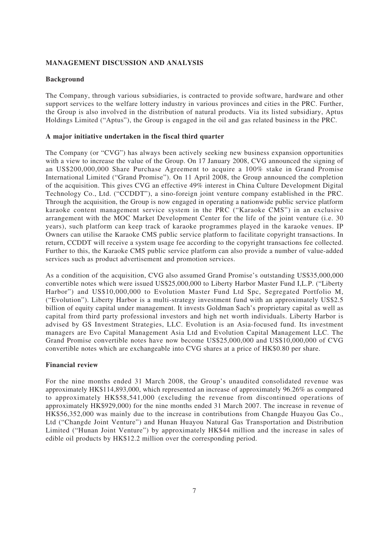# **MANAGEMENT DISCUSSION AND ANALYSIS**

## **Background**

The Company, through various subsidiaries, is contracted to provide software, hardware and other support services to the welfare lottery industry in various provinces and cities in the PRC. Further, the Group is also involved in the distribution of natural products. Via its listed subsidiary, Aptus Holdings Limited ("Aptus"), the Group is engaged in the oil and gas related business in the PRC.

### **A major initiative undertaken in the fiscal third quarter**

The Company (or "CVG") has always been actively seeking new business expansion opportunities with a view to increase the value of the Group. On 17 January 2008, CVG announced the signing of an US\$200,000,000 Share Purchase Agreement to acquire a 100% stake in Grand Promise International Limited ("Grand Promise"). On 11 April 2008, the Group announced the completion of the acquisition. This gives CVG an effective 49% interest in China Culture Development Digital Technology Co., Ltd. ("CCDDT"), a sino-foreign joint venture company established in the PRC. Through the acquisition, the Group is now engaged in operating a nationwide public service platform karaoke content management service system in the PRC ("Karaoke CMS") in an exclusive arrangement with the MOC Market Development Center for the life of the joint venture (i.e. 30 years), such platform can keep track of karaoke programmes played in the karaoke venues. IP Owners can utilise the Karaoke CMS public service platform to facilitate copyright transactions. In return, CCDDT will receive a system usage fee according to the copyright transactions fee collected. Further to this, the Karaoke CMS public service platform can also provide a number of value-added services such as product advertisement and promotion services.

As a condition of the acquisition, CVG also assumed Grand Promise's outstanding US\$35,000,000 convertible notes which were issued US\$25,000,000 to Liberty Harbor Master Fund I,L.P. ("Liberty Harbor") and US\$10,000,000 to Evolution Master Fund Ltd Spc, Segregated Portfolio M, ("Evolution"). Liberty Harbor is a multi-strategy investment fund with an approximately US\$2.5 billion of equity capital under management. It invests Goldman Sach's proprietary capital as well as capital from third party professional investors and high net worth individuals. Liberty Harbor is advised by GS Investment Strategies, LLC. Evolution is an Asia-focused fund. Its investment managers are Evo Capital Management Asia Ltd and Evolution Capital Management LLC. The Grand Promise convertible notes have now become US\$25,000,000 and US\$10,000,000 of CVG convertible notes which are exchangeable into CVG shares at a price of HK\$0.80 per share.

## **Financial review**

For the nine months ended 31 March 2008, the Group's unaudited consolidated revenue was approximately HK\$114,893,000, which represented an increase of approximately 96.26% as compared to approximately HK\$58,541,000 (excluding the revenue from discontinued operations of approximately HK\$929,000) for the nine months ended 31 March 2007. The increase in revenue of HK\$56,352,000 was mainly due to the increase in contributions from Changde Huayou Gas Co., Ltd ("Changde Joint Venture") and Hunan Huayou Natural Gas Transportation and Distribution Limited ("Hunan Joint Venture") by approximately HK\$44 million and the increase in sales of edible oil products by HK\$12.2 million over the corresponding period.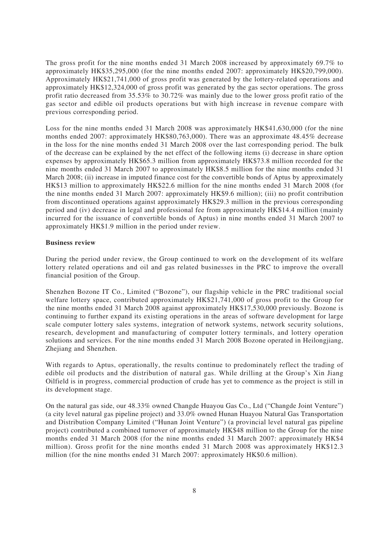The gross profit for the nine months ended 31 March 2008 increased by approximately 69.7% to approximately HK\$35,295,000 (for the nine months ended 2007: approximately HK\$20,799,000). Approximately HK\$21,741,000 of gross profit was generated by the lottery-related operations and approximately HK\$12,324,000 of gross profit was generated by the gas sector operations. The gross profit ratio decreased from 35.53% to 30.72% was mainly due to the lower gross profit ratio of the gas sector and edible oil products operations but with high increase in revenue compare with previous corresponding period.

Loss for the nine months ended 31 March 2008 was approximately HK\$41,630,000 (for the nine months ended 2007: approximately HK\$80,763,000). There was an approximate 48.45% decrease in the loss for the nine months ended 31 March 2008 over the last corresponding period. The bulk of the decrease can be explained by the net effect of the following items (i) decrease in share option expenses by approximately HK\$65.3 million from approximately HK\$73.8 million recorded for the nine months ended 31 March 2007 to approximately HK\$8.5 million for the nine months ended 31 March 2008; (ii) increase in imputed finance cost for the convertible bonds of Aptus by approximately HK\$13 million to approximately HK\$22.6 million for the nine months ended 31 March 2008 (for the nine months ended 31 March 2007: approximately HK\$9.6 million); (iii) no profit contribution from discontinued operations against approximately HK\$29.3 million in the previous corresponding period and (iv) decrease in legal and professional fee from approximately HK\$14.4 million (mainly incurred for the issuance of convertible bonds of Aptus) in nine months ended 31 March 2007 to approximately HK\$1.9 million in the period under review.

### **Business review**

During the period under review, the Group continued to work on the development of its welfare lottery related operations and oil and gas related businesses in the PRC to improve the overall financial position of the Group.

Shenzhen Bozone IT Co., Limited ("Bozone"), our flagship vehicle in the PRC traditional social welfare lottery space, contributed approximately HK\$21,741,000 of gross profit to the Group for the nine months ended 31 March 2008 against approximately HK\$17,530,000 previously. Bozone is continuing to further expand its existing operations in the areas of software development for large scale computer lottery sales systems, integration of network systems, network security solutions, research, development and manufacturing of computer lottery terminals, and lottery operation solutions and services. For the nine months ended 31 March 2008 Bozone operated in Heilongjiang, Zhejiang and Shenzhen.

With regards to Aptus, operationally, the results continue to predominately reflect the trading of edible oil products and the distribution of natural gas. While drilling at the Group's Xin Jiang Oilfield is in progress, commercial production of crude has yet to commence as the project is still in its development stage.

On the natural gas side, our 48.33% owned Changde Huayou Gas Co., Ltd ("Changde Joint Venture") (a city level natural gas pipeline project) and 33.0% owned Hunan Huayou Natural Gas Transportation and Distribution Company Limited ("Hunan Joint Venture") (a provincial level natural gas pipeline project) contributed a combined turnover of approximately HK\$48 million to the Group for the nine months ended 31 March 2008 (for the nine months ended 31 March 2007: approximately HK\$4 million). Gross profit for the nine months ended 31 March 2008 was approximately HK\$12.3 million (for the nine months ended 31 March 2007: approximately HK\$0.6 million).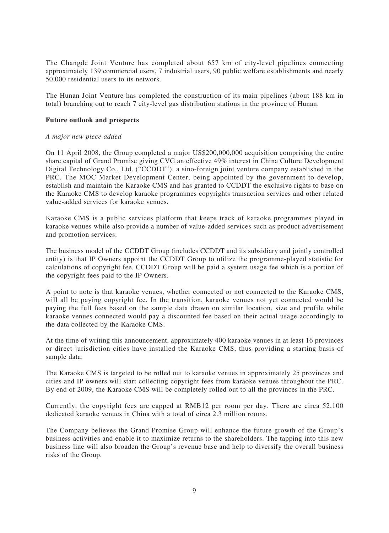The Changde Joint Venture has completed about 657 km of city-level pipelines connecting approximately 139 commercial users, 7 industrial users, 90 public welfare establishments and nearly 50,000 residential users to its network.

The Hunan Joint Venture has completed the construction of its main pipelines (about 188 km in total) branching out to reach 7 city-level gas distribution stations in the province of Hunan.

### **Future outlook and prospects**

### *A major new piece added*

On 11 April 2008, the Group completed a major US\$200,000,000 acquisition comprising the entire share capital of Grand Promise giving CVG an effective 49% interest in China Culture Development Digital Technology Co., Ltd. ("CCDDT"), a sino-foreign joint venture company established in the PRC. The MOC Market Development Center, being appointed by the government to develop, establish and maintain the Karaoke CMS and has granted to CCDDT the exclusive rights to base on the Karaoke CMS to develop karaoke programmes copyrights transaction services and other related value-added services for karaoke venues.

Karaoke CMS is a public services platform that keeps track of karaoke programmes played in karaoke venues while also provide a number of value-added services such as product advertisement and promotion services.

The business model of the CCDDT Group (includes CCDDT and its subsidiary and jointly controlled entity) is that IP Owners appoint the CCDDT Group to utilize the programme-played statistic for calculations of copyright fee. CCDDT Group will be paid a system usage fee which is a portion of the copyright fees paid to the IP Owners.

A point to note is that karaoke venues, whether connected or not connected to the Karaoke CMS, will all be paying copyright fee. In the transition, karaoke venues not yet connected would be paying the full fees based on the sample data drawn on similar location, size and profile while karaoke venues connected would pay a discounted fee based on their actual usage accordingly to the data collected by the Karaoke CMS.

At the time of writing this announcement, approximately 400 karaoke venues in at least 16 provinces or direct jurisdiction cities have installed the Karaoke CMS, thus providing a starting basis of sample data.

The Karaoke CMS is targeted to be rolled out to karaoke venues in approximately 25 provinces and cities and IP owners will start collecting copyright fees from karaoke venues throughout the PRC. By end of 2009, the Karaoke CMS will be completely rolled out to all the provinces in the PRC.

Currently, the copyright fees are capped at RMB12 per room per day. There are circa 52,100 dedicated karaoke venues in China with a total of circa 2.3 million rooms.

The Company believes the Grand Promise Group will enhance the future growth of the Group's business activities and enable it to maximize returns to the shareholders. The tapping into this new business line will also broaden the Group's revenue base and help to diversify the overall business risks of the Group.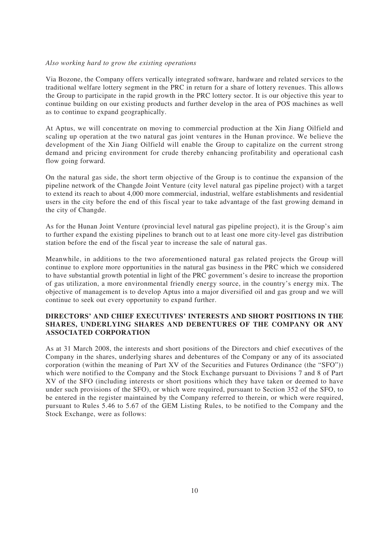### *Also working hard to grow the existing operations*

Via Bozone, the Company offers vertically integrated software, hardware and related services to the traditional welfare lottery segment in the PRC in return for a share of lottery revenues. This allows the Group to participate in the rapid growth in the PRC lottery sector. It is our objective this year to continue building on our existing products and further develop in the area of POS machines as well as to continue to expand geographically.

At Aptus, we will concentrate on moving to commercial production at the Xin Jiang Oilfield and scaling up operation at the two natural gas joint ventures in the Hunan province. We believe the development of the Xin Jiang Oilfield will enable the Group to capitalize on the current strong demand and pricing environment for crude thereby enhancing profitability and operational cash flow going forward.

On the natural gas side, the short term objective of the Group is to continue the expansion of the pipeline network of the Changde Joint Venture (city level natural gas pipeline project) with a target to extend its reach to about 4,000 more commercial, industrial, welfare establishments and residential users in the city before the end of this fiscal year to take advantage of the fast growing demand in the city of Changde.

As for the Hunan Joint Venture (provincial level natural gas pipeline project), it is the Group's aim to further expand the existing pipelines to branch out to at least one more city-level gas distribution station before the end of the fiscal year to increase the sale of natural gas.

Meanwhile, in additions to the two aforementioned natural gas related projects the Group will continue to explore more opportunities in the natural gas business in the PRC which we considered to have substantial growth potential in light of the PRC government's desire to increase the proportion of gas utilization, a more environmental friendly energy source, in the country's energy mix. The objective of management is to develop Aptus into a major diversified oil and gas group and we will continue to seek out every opportunity to expand further.

# **DIRECTORS' AND CHIEF EXECUTIVES' INTERESTS AND SHORT POSITIONS IN THE SHARES, UNDERLYING SHARES AND DEBENTURES OF THE COMPANY OR ANY ASSOCIATED CORPORATION**

As at 31 March 2008, the interests and short positions of the Directors and chief executives of the Company in the shares, underlying shares and debentures of the Company or any of its associated corporation (within the meaning of Part XV of the Securities and Futures Ordinance (the "SFO")) which were notified to the Company and the Stock Exchange pursuant to Divisions 7 and 8 of Part XV of the SFO (including interests or short positions which they have taken or deemed to have under such provisions of the SFO), or which were required, pursuant to Section 352 of the SFO, to be entered in the register maintained by the Company referred to therein, or which were required, pursuant to Rules 5.46 to 5.67 of the GEM Listing Rules, to be notified to the Company and the Stock Exchange, were as follows: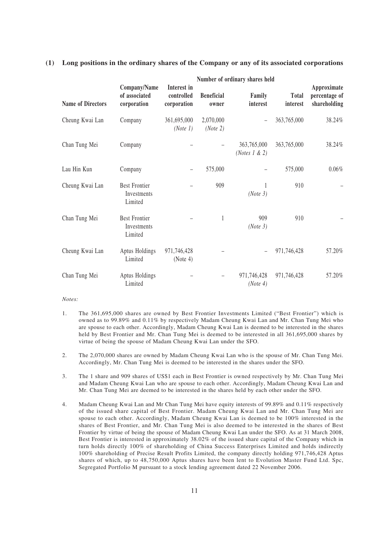### **(1) Long positions in the ordinary shares of the Company or any of its associated corporations**

|                          | Number of ordinary shares held                 |                                          |                            |                                  |                          |                                              |  |  |
|--------------------------|------------------------------------------------|------------------------------------------|----------------------------|----------------------------------|--------------------------|----------------------------------------------|--|--|
| <b>Name of Directors</b> | Company/Name<br>of associated<br>corporation   | Interest in<br>controlled<br>corporation | <b>Beneficial</b><br>owner | Family<br>interest               | <b>Total</b><br>interest | Approximate<br>percentage of<br>shareholding |  |  |
| Cheung Kwai Lan          | Company                                        | 361,695,000<br>(Note 1)                  | 2,070,000<br>(Note 2)      |                                  | 363,765,000              | 38.24%                                       |  |  |
| Chan Tung Mei            | Company                                        |                                          |                            | 363,765,000<br>(Notes $1 \& 2$ ) | 363,765,000              | 38.24%                                       |  |  |
| Lau Hin Kun              | Company                                        |                                          | 575,000                    |                                  | 575,000                  | 0.06%                                        |  |  |
| Cheung Kwai Lan          | <b>Best Frontier</b><br>Investments<br>Limited |                                          | 909                        | (Note 3)                         | 910                      |                                              |  |  |
| Chan Tung Mei            | <b>Best Frontier</b><br>Investments<br>Limited |                                          | $\mathbf{1}$               | 909<br>(Note 3)                  | 910                      |                                              |  |  |
| Cheung Kwai Lan          | Aptus Holdings<br>Limited                      | 971,746,428<br>(Note 4)                  |                            |                                  | 971,746,428              | 57.20%                                       |  |  |
| Chan Tung Mei            | Aptus Holdings<br>Limited                      |                                          |                            | 971,746,428<br>(Note 4)          | 971,746,428              | 57.20%                                       |  |  |

#### *Notes:*

- 1. The 361,695,000 shares are owned by Best Frontier Investments Limited ("Best Frontier") which is owned as to 99.89% and 0.11% by respectively Madam Cheung Kwai Lan and Mr. Chan Tung Mei who are spouse to each other. Accordingly, Madam Cheung Kwai Lan is deemed to be interested in the shares held by Best Frontier and Mr. Chan Tung Mei is deemed to be interested in all 361,695,000 shares by virtue of being the spouse of Madam Cheung Kwai Lan under the SFO.
- 2. The 2,070,000 shares are owned by Madam Cheung Kwai Lan who is the spouse of Mr. Chan Tung Mei. Accordingly, Mr. Chan Tung Mei is deemed to be interested in the shares under the SFO.
- 3. The 1 share and 909 shares of US\$1 each in Best Frontier is owned respectively by Mr. Chan Tung Mei and Madam Cheung Kwai Lan who are spouse to each other. Accordingly, Madam Cheung Kwai Lan and Mr. Chan Tung Mei are deemed to be interested in the shares held by each other under the SFO.
- 4. Madam Cheung Kwai Lan and Mr Chan Tung Mei have equity interests of 99.89% and 0.11% respectively of the issued share capital of Best Frontier. Madam Cheung Kwai Lan and Mr. Chan Tung Mei are spouse to each other. Accordingly, Madam Cheung Kwai Lan is deemed to be 100% interested in the shares of Best Frontier, and Mr. Chan Tung Mei is also deemed to be interested in the shares of Best Frontier by virtue of being the spouse of Madam Cheung Kwai Lan under the SFO. As at 31 March 2008, Best Frontier is interested in approximately 38.02% of the issued share capital of the Company which in turn holds directly 100% of shareholding of China Success Enterprises Limited and holds indirectly 100% shareholding of Precise Result Profits Limited, the company directly holding 971,746,428 Aptus shares of which, up to 48,750,000 Aptus shares have been lent to Evolution Master Fund Ltd. Spc, Segregated Portfolio M pursuant to a stock lending agreement dated 22 November 2006.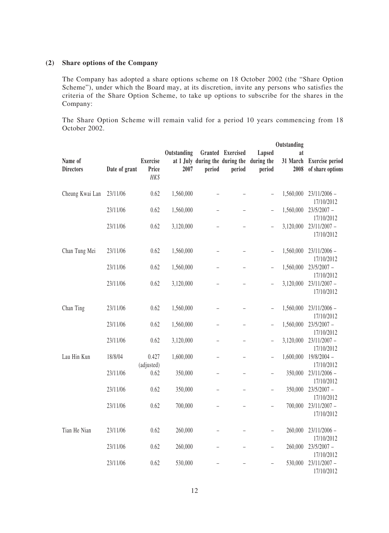# **(2) Share options of the Company**

The Company has adopted a share options scheme on 18 October 2002 (the "Share Option Scheme"), under which the Board may, at its discretion, invite any persons who satisfies the criteria of the Share Option Scheme, to take up options to subscribe for the shares in the Company:

The Share Option Scheme will remain valid for a period 10 years commencing from 18 October 2002.

|                             |               |                                  |             |                          |                                                      |                          | Outstanding      |                                            |
|-----------------------------|---------------|----------------------------------|-------------|--------------------------|------------------------------------------------------|--------------------------|------------------|--------------------------------------------|
|                             |               |                                  | Outstanding |                          | Granted Exercised                                    | Lapsed                   | at               |                                            |
| Name of<br><b>Directors</b> | Date of grant | <b>Exercise</b><br>Price<br>HK\$ | 2007        | period                   | at 1 July during the during the during the<br>period | period                   | 31 March<br>2008 | <b>Exercise period</b><br>of share options |
| Cheung Kwai Lan             | 23/11/06      | 0.62                             | 1,560,000   |                          |                                                      | $\qquad \qquad -$        | 1,560,000        | $23/11/2006$ -<br>17/10/2012               |
|                             | 23/11/06      | 0.62                             | 1,560,000   | $\overline{\phantom{0}}$ |                                                      | $\overline{\phantom{0}}$ | 1,560,000        | $23/5/2007 -$<br>17/10/2012                |
|                             | 23/11/06      | 0.62                             | 3,120,000   |                          |                                                      | $\overline{\phantom{0}}$ | 3,120,000        | $23/11/2007 -$<br>17/10/2012               |
| Chan Tung Mei               | 23/11/06      | 0.62                             | 1,560,000   |                          |                                                      | $\qquad \qquad -$        | 1,560,000        | $23/11/2006$ -<br>17/10/2012               |
|                             | 23/11/06      | 0.62                             | 1,560,000   |                          |                                                      | $\overline{\phantom{a}}$ | 1,560,000        | $23/5/2007 -$<br>17/10/2012                |
|                             | 23/11/06      | 0.62                             | 3,120,000   |                          |                                                      | $\overline{\phantom{0}}$ | 3,120,000        | $23/11/2007 -$<br>17/10/2012               |
| Chan Ting                   | 23/11/06      | 0.62                             | 1,560,000   |                          |                                                      | $\overline{\phantom{a}}$ | 1,560,000        | $23/11/2006$ -<br>17/10/2012               |
|                             | 23/11/06      | 0.62                             | 1,560,000   |                          |                                                      | $\overline{\phantom{m}}$ | 1,560,000        | $23/5/2007 -$<br>17/10/2012                |
|                             | 23/11/06      | 0.62                             | 3,120,000   |                          |                                                      | $\qquad \qquad -$        | 3,120,000        | $23/11/2007 -$<br>17/10/2012               |
| Lau Hin Kun                 | 18/8/04       | 0.427<br>(adjusted)              | 1,600,000   | $\overline{\phantom{0}}$ |                                                      | $\overline{\phantom{0}}$ | 1,600,000        | 19/8/2004 -<br>17/10/2012                  |
|                             | 23/11/06      | 0.62                             | 350,000     |                          |                                                      | $\qquad \qquad -$        | 350,000          | $23/11/2006$ -<br>17/10/2012               |
|                             | 23/11/06      | 0.62                             | 350,000     |                          |                                                      |                          | 350,000          | $23/5/2007 -$<br>17/10/2012                |
|                             | 23/11/06      | 0.62                             | 700,000     |                          |                                                      | $\qquad \qquad -$        | 700,000          | $23/11/2007 -$<br>17/10/2012               |
| Tian He Nian                | 23/11/06      | 0.62                             | 260,000     |                          |                                                      | $\qquad \qquad -$        | 260,000          | $23/11/2006$ -<br>17/10/2012               |
|                             | 23/11/06      | 0.62                             | 260,000     |                          |                                                      | $\qquad \qquad -$        | 260,000          | $23/5/2007 -$<br>17/10/2012                |
|                             | 23/11/06      | 0.62                             | 530,000     |                          |                                                      | $\qquad \qquad -$        | 530,000          | $23/11/2007 -$<br>17/10/2012               |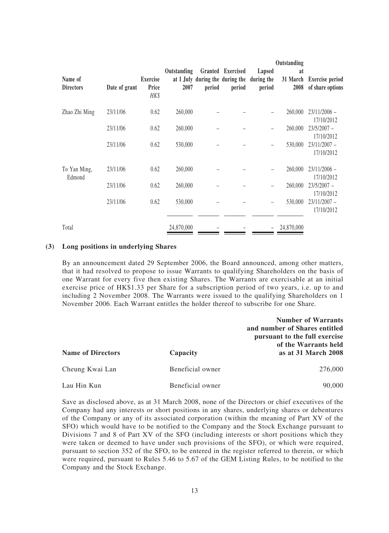|                             |               |                                  |                     |        |                             |                                                                | Outstanding            |                                            |
|-----------------------------|---------------|----------------------------------|---------------------|--------|-----------------------------|----------------------------------------------------------------|------------------------|--------------------------------------------|
| Name of<br><b>Directors</b> | Date of grant | <b>Exercise</b><br>Price<br>HK\$ | Outstanding<br>2007 | period | Granted Exercised<br>period | Lapsed<br>at 1 July during the during the during the<br>period | at<br>31 March<br>2008 | <b>Exercise period</b><br>of share options |
| Zhao Zhi Ming               | 23/11/06      | 0.62                             | 260,000             |        |                             |                                                                | 260,000                | $23/11/2006$ -<br>17/10/2012               |
|                             | 23/11/06      | 0.62                             | 260,000             |        |                             |                                                                | 260,000                | $23/5/2007 -$<br>17/10/2012                |
|                             | 23/11/06      | 0.62                             | 530,000             |        |                             |                                                                | 530,000                | $23/11/2007 -$<br>17/10/2012               |
| To Yan Ming,<br>Edmond      | 23/11/06      | 0.62                             | 260,000             |        |                             |                                                                | 260,000                | $23/11/2006$ -<br>17/10/2012               |
|                             | 23/11/06      | 0.62                             | 260,000             |        |                             |                                                                | 260,000                | $23/5/2007 -$<br>17/10/2012                |
|                             | 23/11/06      | 0.62                             | 530,000             |        |                             |                                                                | 530,000                | $23/11/2007 -$<br>17/10/2012               |
| Total                       |               |                                  | 24,870,000          |        |                             |                                                                | 24,870,000             |                                            |

### **(3) Long positions in underlying Shares**

By an announcement dated 29 September 2006, the Board announced, among other matters, that it had resolved to propose to issue Warrants to qualifying Shareholders on the basis of one Warrant for every five then existing Shares. The Warrants are exercisable at an initial exercise price of HK\$1.33 per Share for a subscription period of two years, i.e. up to and including 2 November 2008. The Warrants were issued to the qualifying Shareholders on 1 November 2006. Each Warrant entitles the holder thereof to subscribe for one Share.

|                          |                  | <b>Number of Warrants</b><br>and number of Shares entitled<br>pursuant to the full exercise<br>of the Warrants held |
|--------------------------|------------------|---------------------------------------------------------------------------------------------------------------------|
| <b>Name of Directors</b> | Capacity         | as at 31 March 2008                                                                                                 |
| Cheung Kwai Lan          | Beneficial owner | 276,000                                                                                                             |
| Lau Hin Kun              | Beneficial owner | 90,000                                                                                                              |

Save as disclosed above, as at 31 March 2008, none of the Directors or chief executives of the Company had any interests or short positions in any shares, underlying shares or debentures of the Company or any of its associated corporation (within the meaning of Part XV of the SFO) which would have to be notified to the Company and the Stock Exchange pursuant to Divisions 7 and 8 of Part XV of the SFO (including interests or short positions which they were taken or deemed to have under such provisions of the SFO), or which were required, pursuant to section 352 of the SFO, to be entered in the register referred to therein, or which were required, pursuant to Rules 5.46 to 5.67 of the GEM Listing Rules, to be notified to the Company and the Stock Exchange.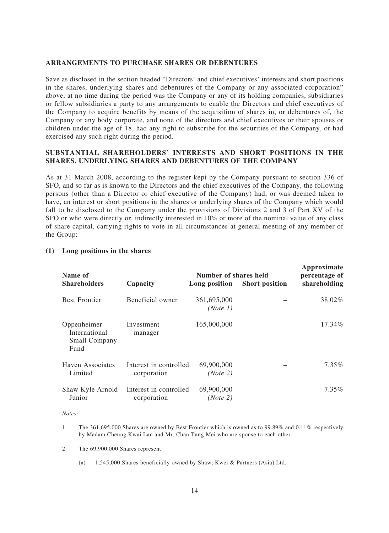### **ARRANGEMENTS TO PURCHASE SHARES OR DEBENTURES**

Save as disclosed in the section headed "Directors' and chief executives' interests and short positions in the shares, underlying shares and debentures of the Company or any associated corporation" above, at no time during the period was the Company or any of its holding companies, subsidiaries or fellow subsidiaries a party to any arrangements to enable the Directors and chief executives of the Company to acquire benefits by means of the acquisition of shares in, or debentures of, the Company or any body corporate, and none of the directors and chief executives or their spouses or children under the age of 18, had any right to subscribe for the securities of the Company, or had exercised any such right during the period.

### **SUBSTANTIAL SHAREHOLDERS' INTERESTS AND SHORT POSITIONS IN THE SHARES, UNDERLYING SHARES AND DEBENTURES OF THE COMPANY**

As at 31 March 2008, according to the register kept by the Company pursuant to section 336 of SFO, and so far as is known to the Directors and the chief executives of the Company, the following persons (other than a Director or chief executive of the Company) had, or was deemed taken to have, an interest or short positions in the shares or underlying shares of the Company which would fall to be disclosed to the Company under the provisions of Divisions 2 and 3 of Part XV of the SFO or who were directly or, indirectly interested in 10% or more of the nominal value of any class of share capital, carrying rights to vote in all circumstances at general meeting of any member of the Group:

| Name of                                                      |                                       | Number of shares held   |                       | Approximate<br>percentage of |
|--------------------------------------------------------------|---------------------------------------|-------------------------|-----------------------|------------------------------|
| <b>Shareholders</b>                                          | Capacity                              | Long position           | <b>Short position</b> | shareholding                 |
| <b>Best Frontier</b>                                         | Beneficial owner                      | 361,695,000<br>(Note 1) |                       | 38.02%                       |
| Oppenheimer<br>International<br><b>Small Company</b><br>Fund | Investment<br>manager                 | 165,000,000             |                       | 17.34%                       |
| <b>Haven Associates</b><br>Limited                           | Interest in controlled<br>corporation | 69,900,000<br>(Note 2)  |                       | 7.35%                        |
| Shaw Kyle Arnold<br>Junior                                   | Interest in controlled<br>corporation | 69,900,000<br>(Note 2)  |                       | 7.35%                        |

### **(1) Long positions in the shares**

#### *Notes:*

- 1. The 361,695,000 Shares are owned by Best Frontier which is owned as to 99.89% and 0.11% respectively by Madam Cheung Kwai Lan and Mr. Chan Tung Mei who are spouse to each other.
- 2. The 69,900,000 Shares represent:
	- (a) 1,545,000 Shares beneficially owned by Shaw, Kwei & Partners (Asia) Ltd.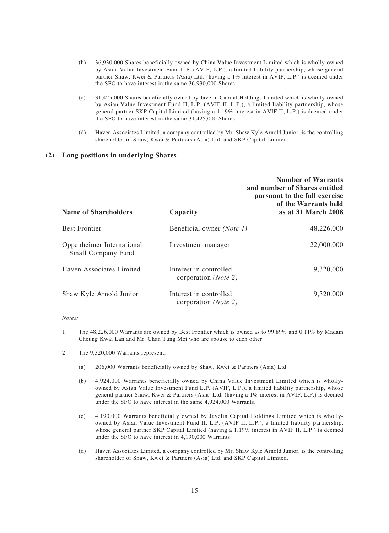- (b) 36,930,000 Shares beneficially owned by China Value Investment Limited which is wholly-owned by Asian Value Investment Fund L.P. (AVIF, L.P.), a limited liability partnership, whose general partner Shaw, Kwei & Partners (Asia) Ltd. (having a 1% interest in AVIF, L.P.) is deemed under the SFO to have interest in the same 36,930,000 Shares.
- (c) 31,425,000 Shares beneficially owned by Javelin Capital Holdings Limited which is wholly-owned by Asian Value Investment Fund II, L.P. (AVIF II, L.P.), a limited liability partnership, whose general partner SKP Capital Limited (having a 1.19% interest in AVIF II, L.P.) is deemed under the SFO to have interest in the same 31,425,000 Shares.
- (d) Haven Associates Limited, a company controlled by Mr. Shaw Kyle Arnold Junior, is the controlling shareholder of Shaw, Kwei & Partners (Asia) Ltd. and SKP Capital Limited.

### **(2) Long positions in underlying Shares**

| <b>Name of Shareholders</b>                            | Capacity                                                | <b>Number of Warrants</b><br>and number of Shares entitled<br>pursuant to the full exercise<br>of the Warrants held<br>as at 31 March 2008 |
|--------------------------------------------------------|---------------------------------------------------------|--------------------------------------------------------------------------------------------------------------------------------------------|
| <b>Best Frontier</b>                                   | Beneficial owner (Note 1)                               | 48,226,000                                                                                                                                 |
| Oppenheimer International<br><b>Small Company Fund</b> | Investment manager                                      | 22,000,000                                                                                                                                 |
| Haven Associates Limited                               | Interest in controlled<br>corporation ( <i>Note 2</i> ) | 9,320,000                                                                                                                                  |
| Shaw Kyle Arnold Junior                                | Interest in controlled<br>corporation ( <i>Note 2</i> ) | 9,320,000                                                                                                                                  |

*Notes:*

- 1. The 48,226,000 Warrants are owned by Best Frontier which is owned as to 99.89% and 0.11% by Madam Cheung Kwai Lan and Mr. Chan Tung Mei who are spouse to each other.
- 2. The 9,320,000 Warrants represent:
	- (a) 206,000 Warrants beneficially owned by Shaw, Kwei & Partners (Asia) Ltd.
	- (b) 4,924,000 Warrants beneficially owned by China Value Investment Limited which is whollyowned by Asian Value Investment Fund L.P. (AVIF, L.P.), a limited liability partnership, whose general partner Shaw, Kwei & Partners (Asia) Ltd. (having a 1% interest in AVIF, L.P.) is deemed under the SFO to have interest in the same 4,924,000 Warrants.
	- (c) 4,190,000 Warrants beneficially owned by Javelin Capital Holdings Limited which is whollyowned by Asian Value Investment Fund II, L.P. (AVIF II, L.P.), a limited liability partnership, whose general partner SKP Capital Limited (having a 1.19% interest in AVIF II, L.P.) is deemed under the SFO to have interest in 4,190,000 Warrants.
	- (d) Haven Associates Limited, a company controlled by Mr. Shaw Kyle Arnold Junior, is the controlling shareholder of Shaw, Kwei & Partners (Asia) Ltd. and SKP Capital Limited.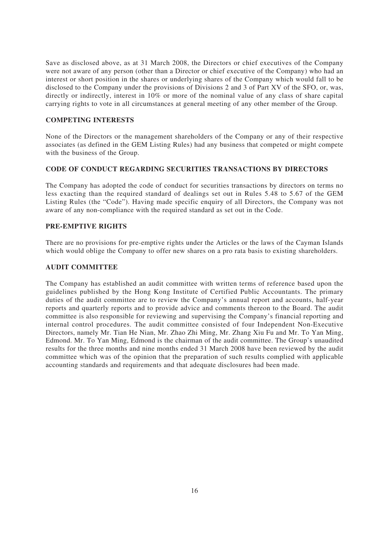Save as disclosed above, as at 31 March 2008, the Directors or chief executives of the Company were not aware of any person (other than a Director or chief executive of the Company) who had an interest or short position in the shares or underlying shares of the Company which would fall to be disclosed to the Company under the provisions of Divisions 2 and 3 of Part XV of the SFO, or, was, directly or indirectly, interest in 10% or more of the nominal value of any class of share capital carrying rights to vote in all circumstances at general meeting of any other member of the Group.

# **COMPETING INTERESTS**

None of the Directors or the management shareholders of the Company or any of their respective associates (as defined in the GEM Listing Rules) had any business that competed or might compete with the business of the Group.

## **CODE OF CONDUCT REGARDING SECURITIES TRANSACTIONS BY DIRECTORS**

The Company has adopted the code of conduct for securities transactions by directors on terms no less exacting than the required standard of dealings set out in Rules 5.48 to 5.67 of the GEM Listing Rules (the "Code"). Having made specific enquiry of all Directors, the Company was not aware of any non-compliance with the required standard as set out in the Code.

# **PRE-EMPTIVE RIGHTS**

There are no provisions for pre-emptive rights under the Articles or the laws of the Cayman Islands which would oblige the Company to offer new shares on a pro rata basis to existing shareholders.

# **AUDIT COMMITTEE**

The Company has established an audit committee with written terms of reference based upon the guidelines published by the Hong Kong Institute of Certified Public Accountants. The primary duties of the audit committee are to review the Company's annual report and accounts, half-year reports and quarterly reports and to provide advice and comments thereon to the Board. The audit committee is also responsible for reviewing and supervising the Company's financial reporting and internal control procedures. The audit committee consisted of four Independent Non-Executive Directors, namely Mr. Tian He Nian, Mr. Zhao Zhi Ming, Mr. Zhang Xiu Fu and Mr. To Yan Ming, Edmond. Mr. To Yan Ming, Edmond is the chairman of the audit committee. The Group's unaudited results for the three months and nine months ended 31 March 2008 have been reviewed by the audit committee which was of the opinion that the preparation of such results complied with applicable accounting standards and requirements and that adequate disclosures had been made.